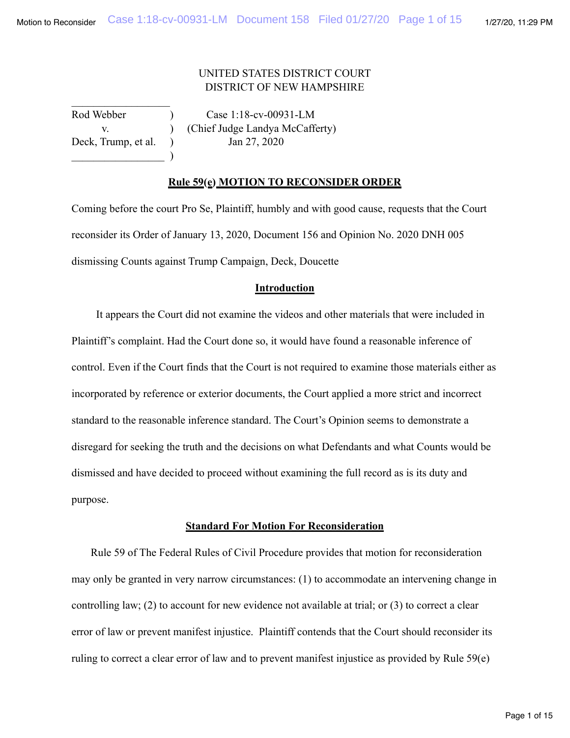# UNITED STATES DISTRICT COURT DISTRICT OF NEW HAMPSHIRE

 $\qquad \qquad$ 

 $\frac{1}{2}$  ,  $\frac{1}{2}$  ,  $\frac{1}{2}$  ,  $\frac{1}{2}$  ,  $\frac{1}{2}$  ,  $\frac{1}{2}$  ,  $\frac{1}{2}$  ,  $\frac{1}{2}$  ,  $\frac{1}{2}$  ,  $\frac{1}{2}$ 

Rod Webber ) Case 1:18-cv-00931-LM v. ) (Chief Judge Landya McCafferty) Deck, Trump, et al.  $\qquad \qquad$  Jan 27, 2020

### **Rule 59(e) MOTION TO RECONSIDER ORDER**

Coming before the court Pro Se, Plaintiff, humbly and with good cause, requests that the Court reconsider its Order of January 13, 2020, Document 156 and Opinion No. 2020 DNH 005 dismissing Counts against Trump Campaign, Deck, Doucette

### **Introduction**

 It appears the Court did not examine the videos and other materials that were included in Plaintiff's complaint. Had the Court done so, it would have found a reasonable inference of control. Even if the Court finds that the Court is not required to examine those materials either as incorporated by reference or exterior documents, the Court applied a more strict and incorrect standard to the reasonable inference standard. The Court's Opinion seems to demonstrate a disregard for seeking the truth and the decisions on what Defendants and what Counts would be dismissed and have decided to proceed without examining the full record as is its duty and purpose.

#### **Standard For Motion For Reconsideration**

 Rule 59 of The Federal Rules of Civil Procedure provides that motion for reconsideration may only be granted in very narrow circumstances: (1) to accommodate an intervening change in controlling law; (2) to account for new evidence not available at trial; or (3) to correct a clear error of law or prevent manifest injustice. Plaintiff contends that the Court should reconsider its ruling to correct a clear error of law and to prevent manifest injustice as provided by Rule 59(e)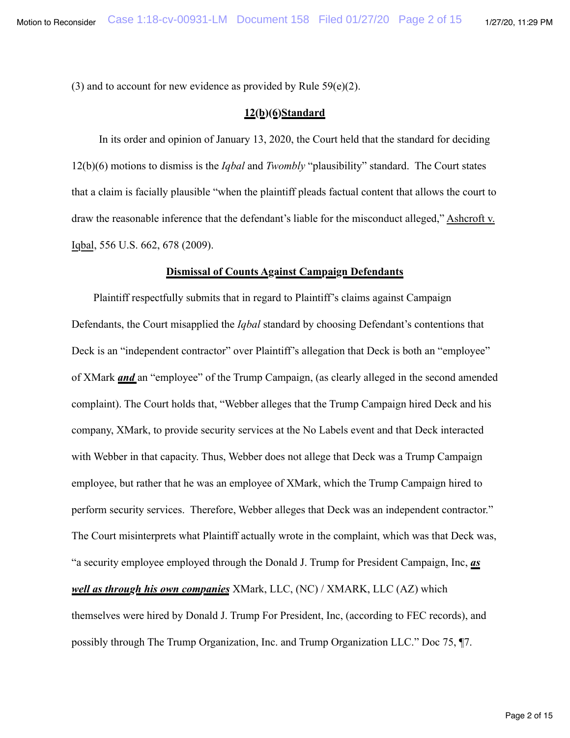(3) and to account for new evidence as provided by Rule  $59(e)(2)$ .

### **12(b)(6)Standard**

 In its order and opinion of January 13, 2020, the Court held that the standard for deciding 12(b)(6) motions to dismiss is the *Iqbal* and *Twombly* "plausibility" standard. The Court states that a claim is facially plausible "when the plaintiff pleads factual content that allows the court to draw the reasonable inference that the defendant's liable for the misconduct alleged," Ashcroft v. Iqbal, 556 U.S. 662, 678 (2009).

# **Dismissal of Counts Against Campaign Defendants**

 Plaintiff respectfully submits that in regard to Plaintiff's claims against Campaign Defendants, the Court misapplied the *Iqbal* standard by choosing Defendant's contentions that Deck is an "independent contractor" over Plaintiff's allegation that Deck is both an "employee" of XMark *and* an "employee" of the Trump Campaign, (as clearly alleged in the second amended complaint). The Court holds that, "Webber alleges that the Trump Campaign hired Deck and his company, XMark, to provide security services at the No Labels event and that Deck interacted with Webber in that capacity. Thus, Webber does not allege that Deck was a Trump Campaign employee, but rather that he was an employee of XMark, which the Trump Campaign hired to perform security services. Therefore, Webber alleges that Deck was an independent contractor." The Court misinterprets what Plaintiff actually wrote in the complaint, which was that Deck was, "a security employee employed through the Donald J. Trump for President Campaign, Inc, *as well as through his own companies* XMark, LLC, (NC) / XMARK, LLC (AZ) which themselves were hired by Donald J. Trump For President, Inc, (according to FEC records), and possibly through The Trump Organization, Inc. and Trump Organization LLC." Doc 75, ¶7.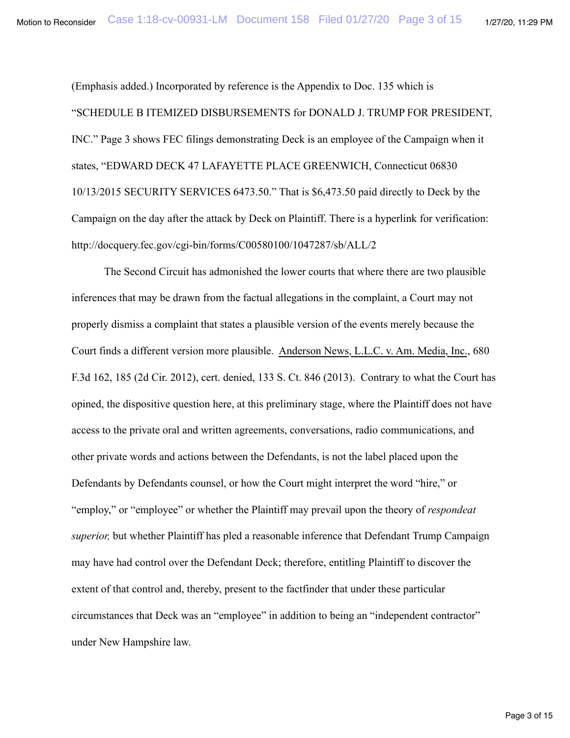(Emphasis added.) Incorporated by reference is the Appendix to Doc. 135 which is "SCHEDULE B ITEMIZED DISBURSEMENTS for DONALD J. TRUMP FOR PRESIDENT, INC." Page 3 shows FEC filings demonstrating Deck is an employee of the Campaign when it states, "EDWARD DECK 47 LAFAYETTE PLACE GREENWICH, Connecticut 06830 10/13/2015 SECURITY SERVICES 6473.50." That is \$6,473.50 paid directly to Deck by the Campaign on the day after the attack by Deck on Plaintiff. There is a hyperlink for verification: http://docquery.fec.gov/cgi-bin/forms/C00580100/1047287/sb/ALL/2

 The Second Circuit has admonished the lower courts that where there are two plausible inferences that may be drawn from the factual allegations in the complaint, a Court may not properly dismiss a complaint that states a plausible version of the events merely because the Court finds a different version more plausible. Anderson News, L.L.C. v. Am. Media, Inc., 680 F.3d 162, 185 (2d Cir. 2012), cert. denied, 133 S. Ct. 846 (2013). Contrary to what the Court has opined, the dispositive question here, at this preliminary stage, where the Plaintiff does not have access to the private oral and written agreements, conversations, radio communications, and other private words and actions between the Defendants, is not the label placed upon the Defendants by Defendants counsel, or how the Court might interpret the word "hire," or "employ," or "employee" or whether the Plaintiff may prevail upon the theory of *respondeat superior,* but whether Plaintiff has pled a reasonable inference that Defendant Trump Campaign may have had control over the Defendant Deck; therefore, entitling Plaintiff to discover the extent of that control and, thereby, present to the factfinder that under these particular circumstances that Deck was an "employee" in addition to being an "independent contractor" under New Hampshire law.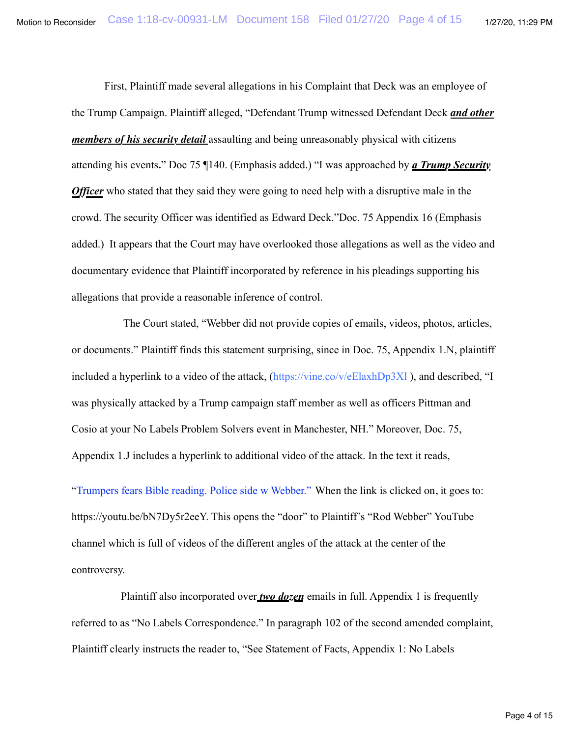First, Plaintiff made several allegations in his Complaint that Deck was an employee of the Trump Campaign. Plaintiff alleged, "Defendant Trump witnessed Defendant Deck *and other members of his security detail* assaulting and being unreasonably physical with citizens attending his events**.**" Doc 75 ¶140. (Emphasis added.) "I was approached by *a Trump Security Officer* who stated that they said they were going to need help with a disruptive male in the crowd. The security Officer was identified as Edward Deck."Doc. 75 Appendix 16 (Emphasis added.) It appears that the Court may have overlooked those allegations as well as the video and documentary evidence that Plaintiff incorporated by reference in his pleadings supporting his allegations that provide a reasonable inference of control.

 The Court stated, "Webber did not provide copies of emails, videos, photos, articles, or documents." Plaintiff finds this statement surprising, since in Doc. 75, Appendix 1.N, plaintiff included a hyperlink to a video of the attack,  $(<https://vine.co/v/eeIaxhDp3Xl>)$ , and described, "I was physically attacked by a Trump campaign staff member as well as officers Pittman and Cosio at your No Labels Problem Solvers event in Manchester, NH." Moreover, Doc. 75, Appendix 1.J includes a hyperlink to additional video of the attack. In the text it reads,

"Trumpers fears Bible reading. Police side w Webber." When the link is clicked on, it goes to: https://youtu.be/bN7Dy5r2eeY. This opens the "door" to Plaintiff's "Rod Webber" YouTube channel which is full of videos of the different angles of the attack at the center of the controversy.

 Plaintiff also incorporated over *two dozen* emails in full. Appendix 1 is frequently referred to as "No Labels Correspondence." In paragraph 102 of the second amended complaint, Plaintiff clearly instructs the reader to, "See Statement of Facts, Appendix 1: No Labels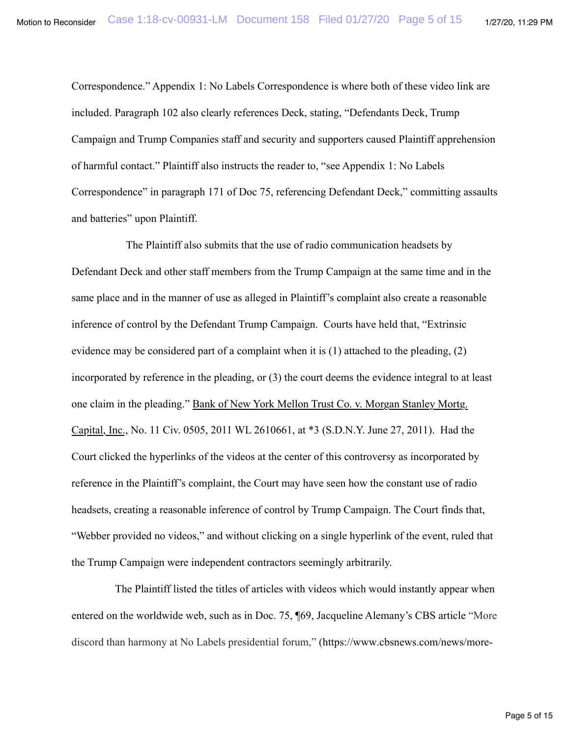Correspondence." Appendix 1: No Labels Correspondence is where both of these video link are included. Paragraph 102 also clearly references Deck, stating, "Defendants Deck, Trump Campaign and Trump Companies staff and security and supporters caused Plaintiff apprehension of harmful contact." Plaintiff also instructs the reader to, "see Appendix 1: No Labels Correspondence" in paragraph 171 of Doc 75, referencing Defendant Deck," committing assaults and batteries" upon Plaintiff.

 The Plaintiff also submits that the use of radio communication headsets by Defendant Deck and other staff members from the Trump Campaign at the same time and in the same place and in the manner of use as alleged in Plaintiff's complaint also create a reasonable inference of control by the Defendant Trump Campaign. Courts have held that, "Extrinsic evidence may be considered part of a complaint when it is (1) attached to the pleading, (2) incorporated by reference in the pleading, or (3) the court deems the evidence integral to at least one claim in the pleading." Bank of New York Mellon Trust Co. v. Morgan Stanley Mortg. Capital, Inc., No. 11 Civ. 0505, 2011 WL 2610661, at \*3 (S.D.N.Y. June 27, 2011). Had the Court clicked the hyperlinks of the videos at the center of this controversy as incorporated by reference in the Plaintiff's complaint, the Court may have seen how the constant use of radio headsets, creating a reasonable inference of control by Trump Campaign. The Court finds that, "Webber provided no videos," and without clicking on a single hyperlink of the event, ruled that the Trump Campaign were independent contractors seemingly arbitrarily.

 The Plaintiff listed the titles of articles with videos which would instantly appear when entered on the worldwide web, such as in Doc. 75, ¶69, Jacqueline Alemany's CBS article "More discord than harmony at No Labels presidential forum," (https://www.cbsnews.com/news/more-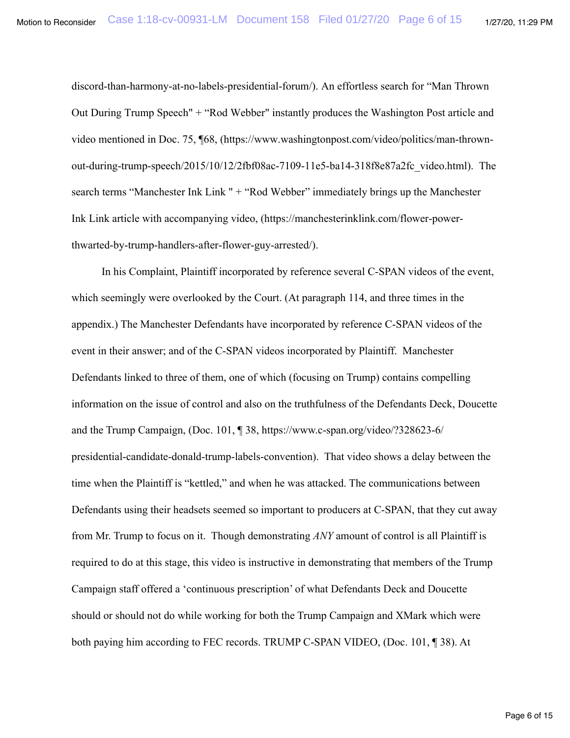discord-than-harmony-at-no-labels-presidential-forum/). An effortless search for "Man Thrown Out During Trump Speech" + "Rod Webber" instantly produces the Washington Post article and video mentioned in Doc. 75, ¶68, (https://www.washingtonpost.com/video/politics/man-thrownout-during-trump-speech/2015/10/12/2fbf08ac-7109-11e5-ba14-318f8e87a2fc\_video.html). The search terms "Manchester Ink Link " + "Rod Webber" immediately brings up the Manchester Ink Link article with accompanying video, (https://manchesterinklink.com/flower-powerthwarted-by-trump-handlers-after-flower-guy-arrested/).

 In his Complaint, Plaintiff incorporated by reference several C-SPAN videos of the event, which seemingly were overlooked by the Court. (At paragraph 114, and three times in the appendix.) The Manchester Defendants have incorporated by reference C-SPAN videos of the event in their answer; and of the C-SPAN videos incorporated by Plaintiff. Manchester Defendants linked to three of them, one of which (focusing on Trump) contains compelling information on the issue of control and also on the truthfulness of the Defendants Deck, Doucette and the Trump Campaign, (Doc. 101, ¶ 38, https://www.c-span.org/video/?328623-6/ presidential-candidate-donald-trump-labels-convention). That video shows a delay between the time when the Plaintiff is "kettled," and when he was attacked. The communications between Defendants using their headsets seemed so important to producers at C-SPAN, that they cut away from Mr. Trump to focus on it. Though demonstrating *ANY* amount of control is all Plaintiff is required to do at this stage, this video is instructive in demonstrating that members of the Trump Campaign staff offered a 'continuous prescription' of what Defendants Deck and Doucette should or should not do while working for both the Trump Campaign and XMark which were both paying him according to FEC records. TRUMP C-SPAN VIDEO, (Doc. 101, ¶ 38). At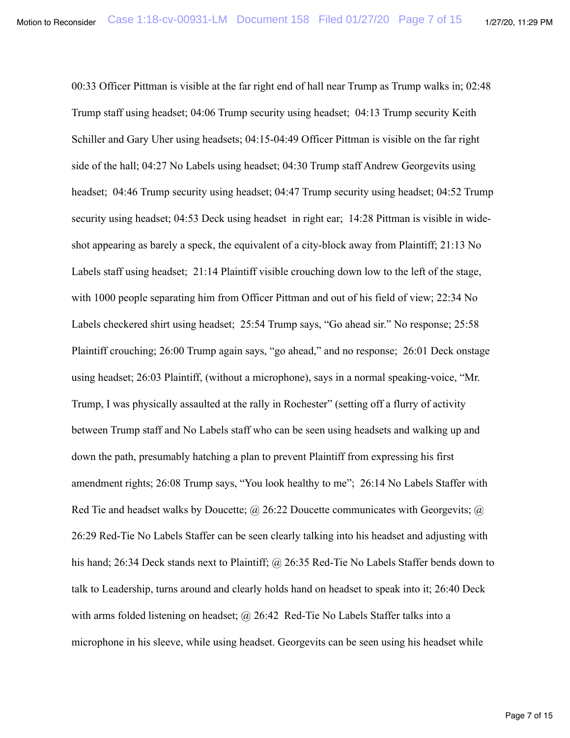00:33 Officer Pittman is visible at the far right end of hall near Trump as Trump walks in; 02:48 Trump staff using headset; 04:06 Trump security using headset; 04:13 Trump security Keith Schiller and Gary Uher using headsets; 04:15-04:49 Officer Pittman is visible on the far right side of the hall; 04:27 No Labels using headset; 04:30 Trump staff Andrew Georgevits using headset; 04:46 Trump security using headset; 04:47 Trump security using headset; 04:52 Trump security using headset; 04:53 Deck using headset in right ear; 14:28 Pittman is visible in wideshot appearing as barely a speck, the equivalent of a city-block away from Plaintiff; 21:13 No Labels staff using headset; 21:14 Plaintiff visible crouching down low to the left of the stage, with 1000 people separating him from Officer Pittman and out of his field of view; 22:34 No Labels checkered shirt using headset; 25:54 Trump says, "Go ahead sir." No response; 25:58 Plaintiff crouching; 26:00 Trump again says, "go ahead," and no response; 26:01 Deck onstage using headset; 26:03 Plaintiff, (without a microphone), says in a normal speaking-voice, "Mr. Trump, I was physically assaulted at the rally in Rochester" (setting off a flurry of activity between Trump staff and No Labels staff who can be seen using headsets and walking up and down the path, presumably hatching a plan to prevent Plaintiff from expressing his first amendment rights; 26:08 Trump says, "You look healthy to me"; 26:14 No Labels Staffer with Red Tie and headset walks by Doucette;  $\omega$  26:22 Doucette communicates with Georgevits;  $\omega$ 26:29 Red-Tie No Labels Staffer can be seen clearly talking into his headset and adjusting with his hand; 26:34 Deck stands next to Plaintiff; @ 26:35 Red-Tie No Labels Staffer bends down to talk to Leadership, turns around and clearly holds hand on headset to speak into it; 26:40 Deck with arms folded listening on headset;  $\omega$  26:42 Red-Tie No Labels Staffer talks into a microphone in his sleeve, while using headset. Georgevits can be seen using his headset while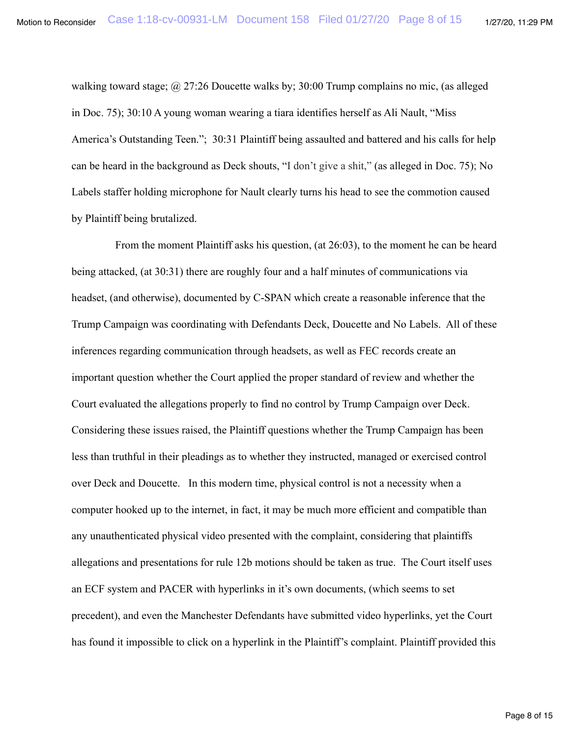walking toward stage; @ 27:26 Doucette walks by; 30:00 Trump complains no mic, (as alleged in Doc. 75); 30:10 A young woman wearing a tiara identifies herself as Ali Nault, "Miss America's Outstanding Teen."; 30:31 Plaintiff being assaulted and battered and his calls for help can be heard in the background as Deck shouts, "I don't give a shit," (as alleged in Doc. 75); No Labels staffer holding microphone for Nault clearly turns his head to see the commotion caused by Plaintiff being brutalized.

 From the moment Plaintiff asks his question, (at 26:03), to the moment he can be heard being attacked, (at 30:31) there are roughly four and a half minutes of communications via headset, (and otherwise), documented by C-SPAN which create a reasonable inference that the Trump Campaign was coordinating with Defendants Deck, Doucette and No Labels. All of these inferences regarding communication through headsets, as well as FEC records create an important question whether the Court applied the proper standard of review and whether the Court evaluated the allegations properly to find no control by Trump Campaign over Deck. Considering these issues raised, the Plaintiff questions whether the Trump Campaign has been less than truthful in their pleadings as to whether they instructed, managed or exercised control over Deck and Doucette. In this modern time, physical control is not a necessity when a computer hooked up to the internet, in fact, it may be much more efficient and compatible than any unauthenticated physical video presented with the complaint, considering that plaintiffs allegations and presentations for rule 12b motions should be taken as true. The Court itself uses an ECF system and PACER with hyperlinks in it's own documents, (which seems to set precedent), and even the Manchester Defendants have submitted video hyperlinks, yet the Court has found it impossible to click on a hyperlink in the Plaintiff's complaint. Plaintiff provided this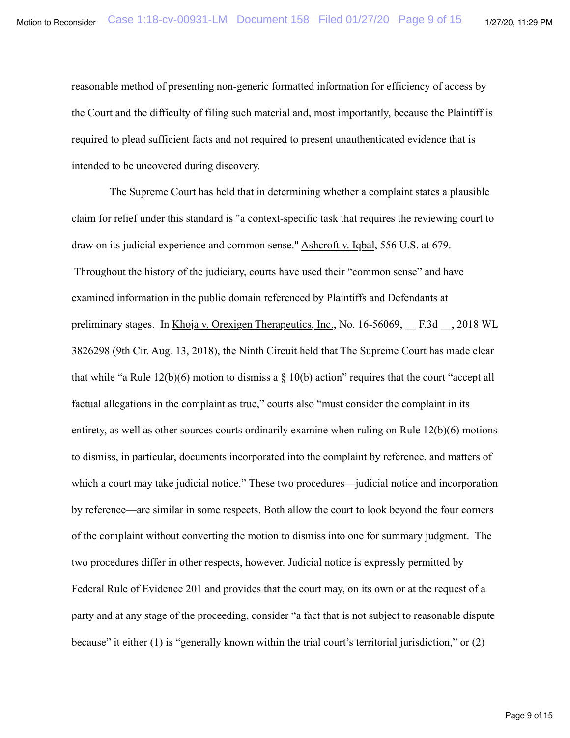reasonable method of presenting non-generic formatted information for efficiency of access by the Court and the difficulty of filing such material and, most importantly, because the Plaintiff is required to plead sufficient facts and not required to present unauthenticated evidence that is intended to be uncovered during discovery.

 The Supreme Court has held that in determining whether a complaint states a plausible claim for relief under this standard is "a context-specific task that requires the reviewing court to draw on its judicial experience and common sense." Ashcroft v. Iqbal, 556 U.S. at 679. Throughout the history of the judiciary, courts have used their "common sense" and have examined information in the public domain referenced by Plaintiffs and Defendants at preliminary stages. In Khoja v. Orexigen Therapeutics, Inc., No. 16-56069, F.3d , 2018 WL 3826298 (9th Cir. Aug. 13, 2018), the Ninth Circuit held that The Supreme Court has made clear that while "a Rule  $12(b)(6)$  motion to dismiss a  $\S 10(b)$  action" requires that the court "accept all factual allegations in the complaint as true," courts also "must consider the complaint in its entirety, as well as other sources courts ordinarily examine when ruling on Rule 12(b)(6) motions to dismiss, in particular, documents incorporated into the complaint by reference, and matters of which a court may take judicial notice." These two procedures—judicial notice and incorporation by reference—are similar in some respects. Both allow the court to look beyond the four corners of the complaint without converting the motion to dismiss into one for summary judgment. The two procedures differ in other respects, however. Judicial notice is expressly permitted by Federal Rule of Evidence 201 and provides that the court may, on its own or at the request of a party and at any stage of the proceeding, consider "a fact that is not subject to reasonable dispute because" it either (1) is "generally known within the trial court's territorial jurisdiction," or (2)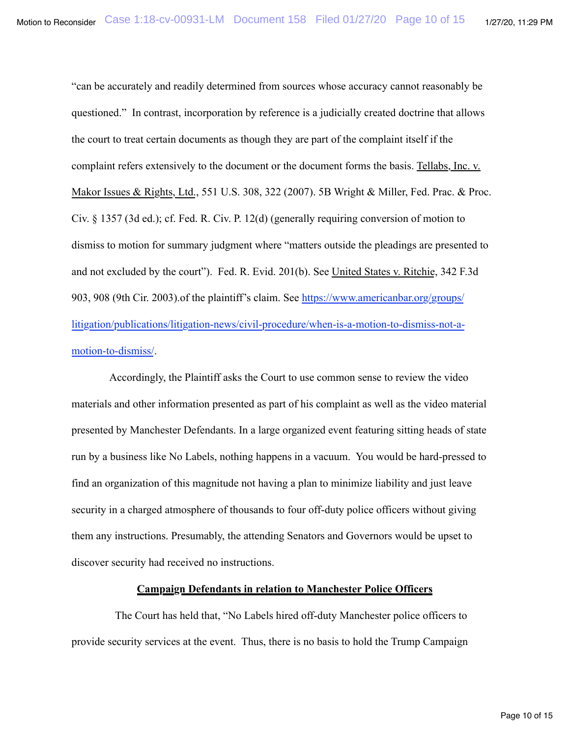"can be accurately and readily determined from sources whose accuracy cannot reasonably be questioned." In contrast, incorporation by reference is a judicially created doctrine that allows the court to treat certain documents as though they are part of the complaint itself if the complaint refers extensively to the document or the document forms the basis. Tellabs, Inc. v. Makor Issues & Rights, Ltd., 551 U.S. 308, 322 (2007). 5B Wright & Miller, Fed. Prac. & Proc. Civ. § 1357 (3d ed.); cf. Fed. R. Civ. P. 12(d) (generally requiring conversion of motion to dismiss to motion for summary judgment where "matters outside the pleadings are presented to and not excluded by the court"). Fed. R. Evid. 201(b). See United States v. Ritchie, 342 F.3d 903, 908 (9th Cir. 2003).of the plaintiff's claim. See [https://www.americanbar.org/groups/](https://www.americanbar.org/groups/litigation/publications/litigation-news/civil-procedure/when-is-a-motion-to-dismiss-not-a-motion-to-dismiss/) [litigation/publications/litigation-news/civil-procedure/when-is-a-motion-to-dismiss-not-a-](https://www.americanbar.org/groups/litigation/publications/litigation-news/civil-procedure/when-is-a-motion-to-dismiss-not-a-motion-to-dismiss/)

# [motion-to-dismiss/.](https://www.americanbar.org/groups/litigation/publications/litigation-news/civil-procedure/when-is-a-motion-to-dismiss-not-a-motion-to-dismiss/)

 Accordingly, the Plaintiff asks the Court to use common sense to review the video materials and other information presented as part of his complaint as well as the video material presented by Manchester Defendants. In a large organized event featuring sitting heads of state run by a business like No Labels, nothing happens in a vacuum. You would be hard-pressed to find an organization of this magnitude not having a plan to minimize liability and just leave security in a charged atmosphere of thousands to four off-duty police officers without giving them any instructions. Presumably, the attending Senators and Governors would be upset to discover security had received no instructions.

# **Campaign Defendants in relation to Manchester Police Officers**

 The Court has held that, "No Labels hired off-duty Manchester police officers to provide security services at the event. Thus, there is no basis to hold the Trump Campaign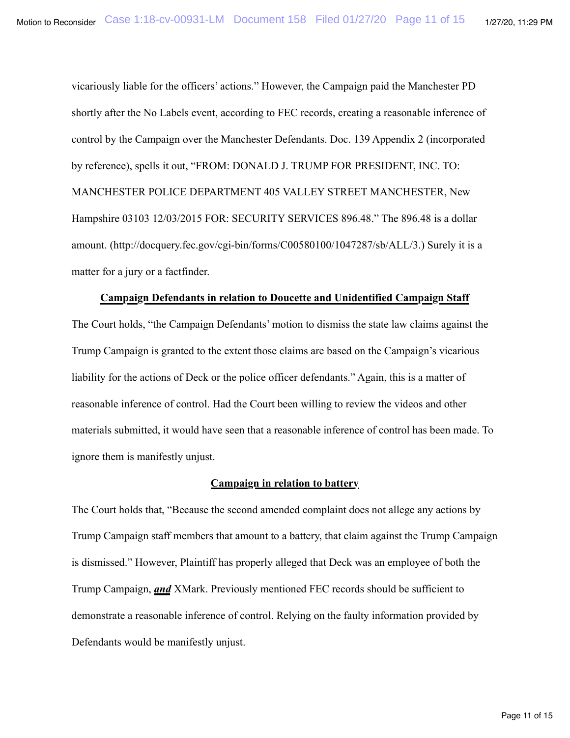vicariously liable for the officers' actions." However, the Campaign paid the Manchester PD shortly after the No Labels event, according to FEC records, creating a reasonable inference of control by the Campaign over the Manchester Defendants. Doc. 139 Appendix 2 (incorporated by reference), spells it out, "FROM: DONALD J. TRUMP FOR PRESIDENT, INC. TO: MANCHESTER POLICE DEPARTMENT 405 VALLEY STREET MANCHESTER, New Hampshire 03103 12/03/2015 FOR: SECURITY SERVICES 896.48." The 896.48 is a dollar amount. (http://docquery.fec.gov/cgi-bin/forms/C00580100/1047287/sb/ALL/3.) Surely it is a matter for a jury or a factfinder.

## **Campaign Defendants in relation to Doucette and Unidentified Campaign Staff**

The Court holds, "the Campaign Defendants' motion to dismiss the state law claims against the Trump Campaign is granted to the extent those claims are based on the Campaign's vicarious liability for the actions of Deck or the police officer defendants." Again, this is a matter of reasonable inference of control. Had the Court been willing to review the videos and other materials submitted, it would have seen that a reasonable inference of control has been made. To ignore them is manifestly unjust.

## **Campaign in relation to battery**

The Court holds that, "Because the second amended complaint does not allege any actions by Trump Campaign staff members that amount to a battery, that claim against the Trump Campaign is dismissed." However, Plaintiff has properly alleged that Deck was an employee of both the Trump Campaign, *and* XMark. Previously mentioned FEC records should be sufficient to demonstrate a reasonable inference of control. Relying on the faulty information provided by Defendants would be manifestly unjust.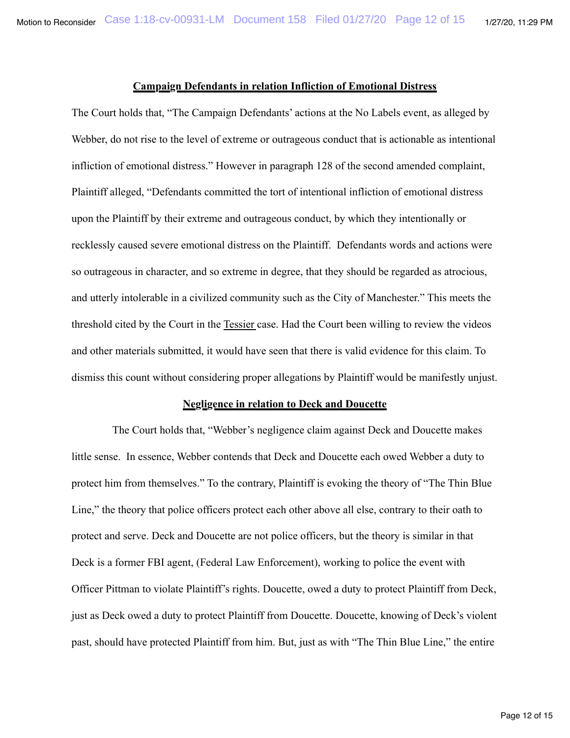### **Campaign Defendants in relation Infliction of Emotional Distress**

The Court holds that, "The Campaign Defendants' actions at the No Labels event, as alleged by Webber, do not rise to the level of extreme or outrageous conduct that is actionable as intentional infliction of emotional distress." However in paragraph 128 of the second amended complaint, Plaintiff alleged, "Defendants committed the tort of intentional infliction of emotional distress upon the Plaintiff by their extreme and outrageous conduct, by which they intentionally or recklessly caused severe emotional distress on the Plaintiff. Defendants words and actions were so outrageous in character, and so extreme in degree, that they should be regarded as atrocious, and utterly intolerable in a civilized community such as the City of Manchester." This meets the threshold cited by the Court in the Tessier case. Had the Court been willing to review the videos and other materials submitted, it would have seen that there is valid evidence for this claim. To dismiss this count without considering proper allegations by Plaintiff would be manifestly unjust.

#### **Negligence in relation to Deck and Doucette**

 The Court holds that, "Webber's negligence claim against Deck and Doucette makes little sense. In essence, Webber contends that Deck and Doucette each owed Webber a duty to protect him from themselves." To the contrary, Plaintiff is evoking the theory of "The Thin Blue Line," the theory that police officers protect each other above all else, contrary to their oath to protect and serve. Deck and Doucette are not police officers, but the theory is similar in that Deck is a former FBI agent, (Federal Law Enforcement), working to police the event with Officer Pittman to violate Plaintiff's rights. Doucette, owed a duty to protect Plaintiff from Deck, just as Deck owed a duty to protect Plaintiff from Doucette. Doucette, knowing of Deck's violent past, should have protected Plaintiff from him. But, just as with "The Thin Blue Line," the entire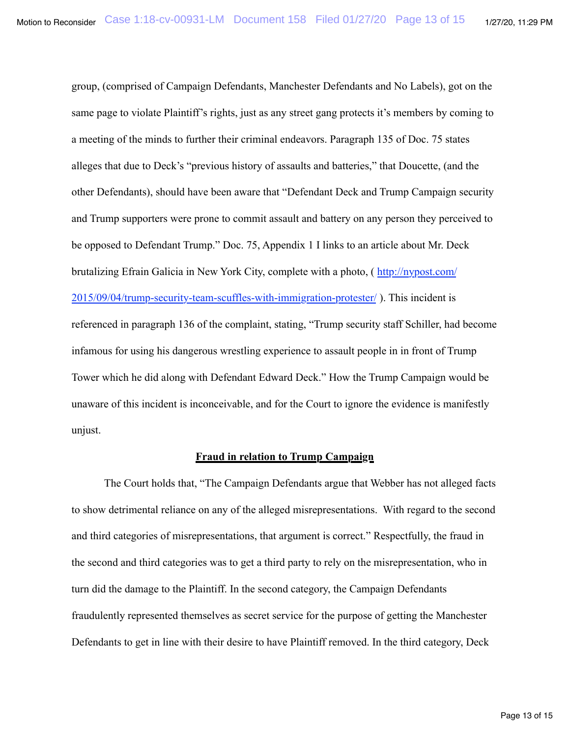group, (comprised of Campaign Defendants, Manchester Defendants and No Labels), got on the same page to violate Plaintiff's rights, just as any street gang protects it's members by coming to a meeting of the minds to further their criminal endeavors. Paragraph 135 of Doc. 75 states alleges that due to Deck's "previous history of assaults and batteries," that Doucette, (and the other Defendants), should have been aware that "Defendant Deck and Trump Campaign security and Trump supporters were prone to commit assault and battery on any person they perceived to be opposed to Defendant Trump." Doc. 75, Appendix 1 I links to an article about Mr. Deck brutalizing Efrain Galicia in New York City, complete with a photo, ( [http://nypost.com/](http://nypost.com/2015/09/04/trump-security-team-scuffles-with-immigration-protester/) [2015/09/04/trump-security-team-scuffles-with-immigration-protester/](http://nypost.com/2015/09/04/trump-security-team-scuffles-with-immigration-protester/) ). This incident is referenced in paragraph 136 of the complaint, stating, "Trump security staff Schiller, had become infamous for using his dangerous wrestling experience to assault people in in front of Trump Tower which he did along with Defendant Edward Deck." How the Trump Campaign would be

unaware of this incident is inconceivable, and for the Court to ignore the evidence is manifestly unjust.

# **Fraud in relation to Trump Campaign**

 The Court holds that, "The Campaign Defendants argue that Webber has not alleged facts to show detrimental reliance on any of the alleged misrepresentations. With regard to the second and third categories of misrepresentations, that argument is correct." Respectfully, the fraud in the second and third categories was to get a third party to rely on the misrepresentation, who in turn did the damage to the Plaintiff. In the second category, the Campaign Defendants fraudulently represented themselves as secret service for the purpose of getting the Manchester Defendants to get in line with their desire to have Plaintiff removed. In the third category, Deck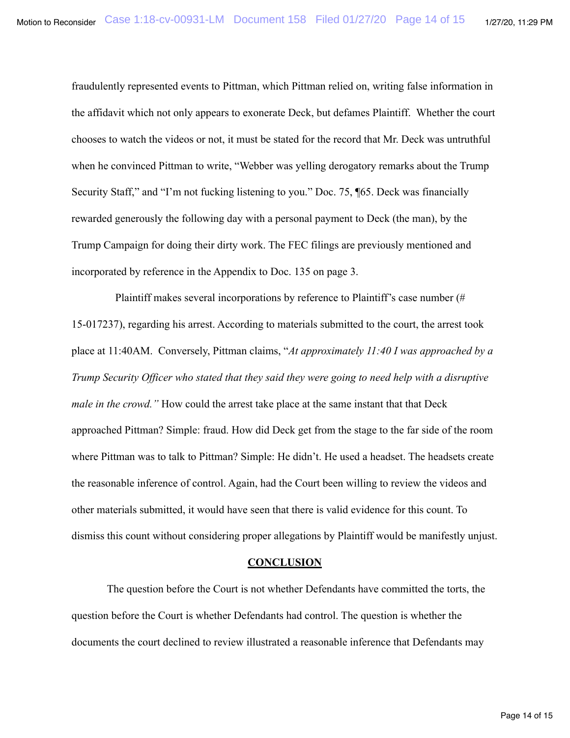fraudulently represented events to Pittman, which Pittman relied on, writing false information in the affidavit which not only appears to exonerate Deck, but defames Plaintiff. Whether the court chooses to watch the videos or not, it must be stated for the record that Mr. Deck was untruthful when he convinced Pittman to write, "Webber was yelling derogatory remarks about the Trump Security Staff," and "I'm not fucking listening to you." Doc. 75, ¶65. Deck was financially rewarded generously the following day with a personal payment to Deck (the man), by the Trump Campaign for doing their dirty work. The FEC filings are previously mentioned and incorporated by reference in the Appendix to Doc. 135 on page 3.

 Plaintiff makes several incorporations by reference to Plaintiff's case number (# 15-017237), regarding his arrest. According to materials submitted to the court, the arrest took place at 11:40AM. Conversely, Pittman claims, "*At approximately 11:40 I was approached by a Trump Security Officer who stated that they said they were going to need help with a disruptive male in the crowd.*" How could the arrest take place at the same instant that that Deck approached Pittman? Simple: fraud. How did Deck get from the stage to the far side of the room where Pittman was to talk to Pittman? Simple: He didn't. He used a headset. The headsets create the reasonable inference of control. Again, had the Court been willing to review the videos and other materials submitted, it would have seen that there is valid evidence for this count. To dismiss this count without considering proper allegations by Plaintiff would be manifestly unjust.

#### **CONCLUSION**

 The question before the Court is not whether Defendants have committed the torts, the question before the Court is whether Defendants had control. The question is whether the documents the court declined to review illustrated a reasonable inference that Defendants may